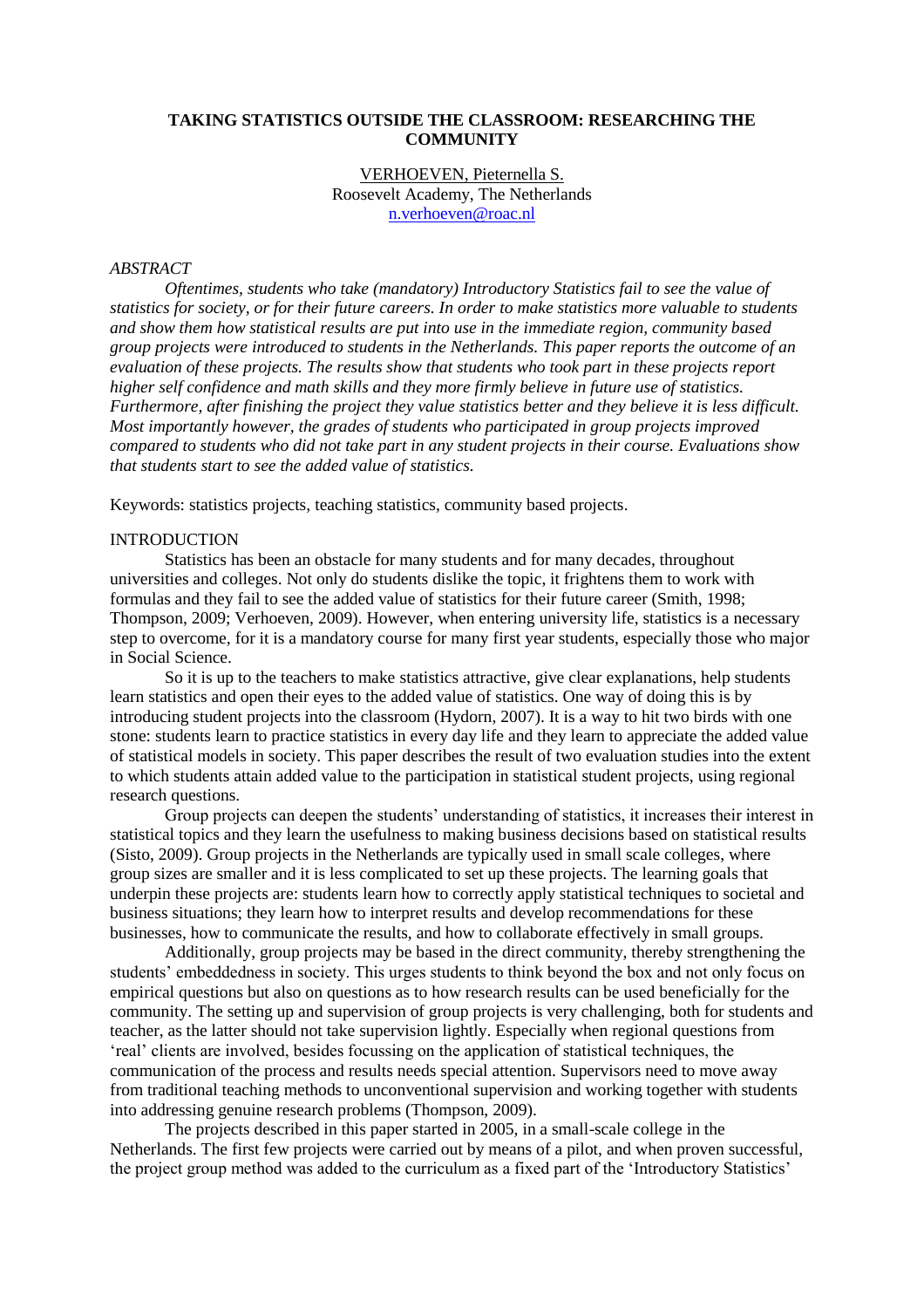# **TAKING STATISTICS OUTSIDE THE CLASSROOM: RESEARCHING THE COMMUNITY**

## VERHOEVEN, Pieternella S. Roosevelt Academy, The Netherlands [n.verhoeven@roac.nl](mailto:n.verhoeven@roac.nl)

## *ABSTRACT*

*Oftentimes, students who take (mandatory) Introductory Statistics fail to see the value of statistics for society, or for their future careers. In order to make statistics more valuable to students and show them how statistical results are put into use in the immediate region, community based group projects were introduced to students in the Netherlands. This paper reports the outcome of an evaluation of these projects. The results show that students who took part in these projects report higher self confidence and math skills and they more firmly believe in future use of statistics. Furthermore, after finishing the project they value statistics better and they believe it is less difficult. Most importantly however, the grades of students who participated in group projects improved compared to students who did not take part in any student projects in their course. Evaluations show that students start to see the added value of statistics.* 

Keywords: statistics projects, teaching statistics, community based projects.

# **INTRODUCTION**

Statistics has been an obstacle for many students and for many decades, throughout universities and colleges. Not only do students dislike the topic, it frightens them to work with formulas and they fail to see the added value of statistics for their future career (Smith, 1998; Thompson, 2009; Verhoeven, 2009). However, when entering university life, statistics is a necessary step to overcome, for it is a mandatory course for many first year students, especially those who major in Social Science.

So it is up to the teachers to make statistics attractive, give clear explanations, help students learn statistics and open their eyes to the added value of statistics. One way of doing this is by introducing student projects into the classroom (Hydorn, 2007). It is a way to hit two birds with one stone: students learn to practice statistics in every day life and they learn to appreciate the added value of statistical models in society. This paper describes the result of two evaluation studies into the extent to which students attain added value to the participation in statistical student projects, using regional research questions.

Group projects can deepen the students' understanding of statistics, it increases their interest in statistical topics and they learn the usefulness to making business decisions based on statistical results (Sisto, 2009). Group projects in the Netherlands are typically used in small scale colleges, where group sizes are smaller and it is less complicated to set up these projects. The learning goals that underpin these projects are: students learn how to correctly apply statistical techniques to societal and business situations; they learn how to interpret results and develop recommendations for these businesses, how to communicate the results, and how to collaborate effectively in small groups.

Additionally, group projects may be based in the direct community, thereby strengthening the students' embeddedness in society. This urges students to think beyond the box and not only focus on empirical questions but also on questions as to how research results can be used beneficially for the community. The setting up and supervision of group projects is very challenging, both for students and teacher, as the latter should not take supervision lightly. Especially when regional questions from 'real' clients are involved, besides focussing on the application of statistical techniques, the communication of the process and results needs special attention. Supervisors need to move away from traditional teaching methods to unconventional supervision and working together with students into addressing genuine research problems (Thompson, 2009).

The projects described in this paper started in 2005, in a small-scale college in the Netherlands. The first few projects were carried out by means of a pilot, and when proven successful, the project group method was added to the curriculum as a fixed part of the 'Introductory Statistics'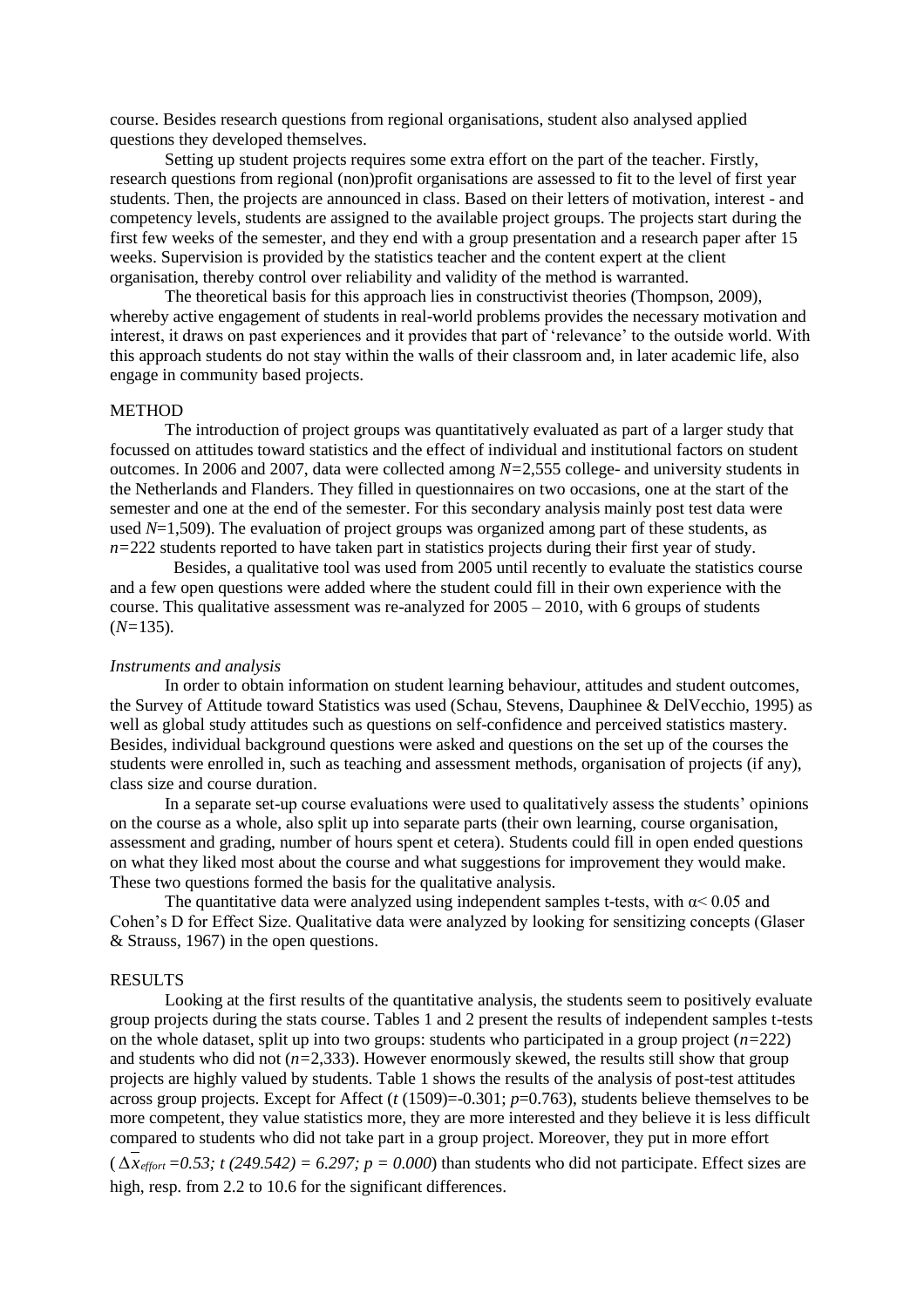course. Besides research questions from regional organisations, student also analysed applied questions they developed themselves.

Setting up student projects requires some extra effort on the part of the teacher. Firstly, research questions from regional (non)profit organisations are assessed to fit to the level of first year students. Then, the projects are announced in class. Based on their letters of motivation, interest - and competency levels, students are assigned to the available project groups. The projects start during the first few weeks of the semester, and they end with a group presentation and a research paper after 15 weeks. Supervision is provided by the statistics teacher and the content expert at the client organisation, thereby control over reliability and validity of the method is warranted.

The theoretical basis for this approach lies in constructivist theories (Thompson, 2009), whereby active engagement of students in real-world problems provides the necessary motivation and interest, it draws on past experiences and it provides that part of 'relevance' to the outside world. With this approach students do not stay within the walls of their classroom and, in later academic life, also engage in community based projects.

## **METHOD**

The introduction of project groups was quantitatively evaluated as part of a larger study that focussed on attitudes toward statistics and the effect of individual and institutional factors on student outcomes. In 2006 and 2007, data were collected among *N=*2,555 college- and university students in the Netherlands and Flanders. They filled in questionnaires on two occasions, one at the start of the semester and one at the end of the semester. For this secondary analysis mainly post test data were used *N*=1,509). The evaluation of project groups was organized among part of these students, as *n=*222 students reported to have taken part in statistics projects during their first year of study.

 Besides, a qualitative tool was used from 2005 until recently to evaluate the statistics course and a few open questions were added where the student could fill in their own experience with the course. This qualitative assessment was re-analyzed for  $2005 - 2010$ , with 6 groups of students (*N=*135).

#### *Instruments and analysis*

In order to obtain information on student learning behaviour, attitudes and student outcomes, the Survey of Attitude toward Statistics was used (Schau, Stevens, Dauphinee & DelVecchio, 1995) as well as global study attitudes such as questions on self-confidence and perceived statistics mastery. Besides, individual background questions were asked and questions on the set up of the courses the students were enrolled in, such as teaching and assessment methods, organisation of projects (if any), class size and course duration.

In a separate set-up course evaluations were used to qualitatively assess the students' opinions on the course as a whole, also split up into separate parts (their own learning, course organisation, assessment and grading, number of hours spent et cetera). Students could fill in open ended questions on what they liked most about the course and what suggestions for improvement they would make. These two questions formed the basis for the qualitative analysis.

The quantitative data were analyzed using independent samples t-tests, with  $\alpha$  < 0.05 and Cohen's D for Effect Size. Qualitative data were analyzed by looking for sensitizing concepts (Glaser & Strauss, 1967) in the open questions.

#### RESULTS

Looking at the first results of the quantitative analysis, the students seem to positively evaluate group projects during the stats course. Tables 1 and 2 present the results of independent samples t-tests on the whole dataset, split up into two groups: students who participated in a group project (*n=*222) and students who did not (*n=*2,333). However enormously skewed, the results still show that group projects are highly valued by students. Table 1 shows the results of the analysis of post-test attitudes across group projects. Except for Affect (*t* (1509)=-0.301; *p*=0.763), students believe themselves to be more competent, they value statistics more, they are more interested and they believe it is less difficult compared to students who did not take part in a group project. Moreover, they put in more effort  $(\Delta x_{\text{effort}} = 0.53; t(249.542) = 6.297; p = 0.000)$  than students who did not participate. Effect sizes are

high, resp. from 2.2 to 10.6 for the significant differences.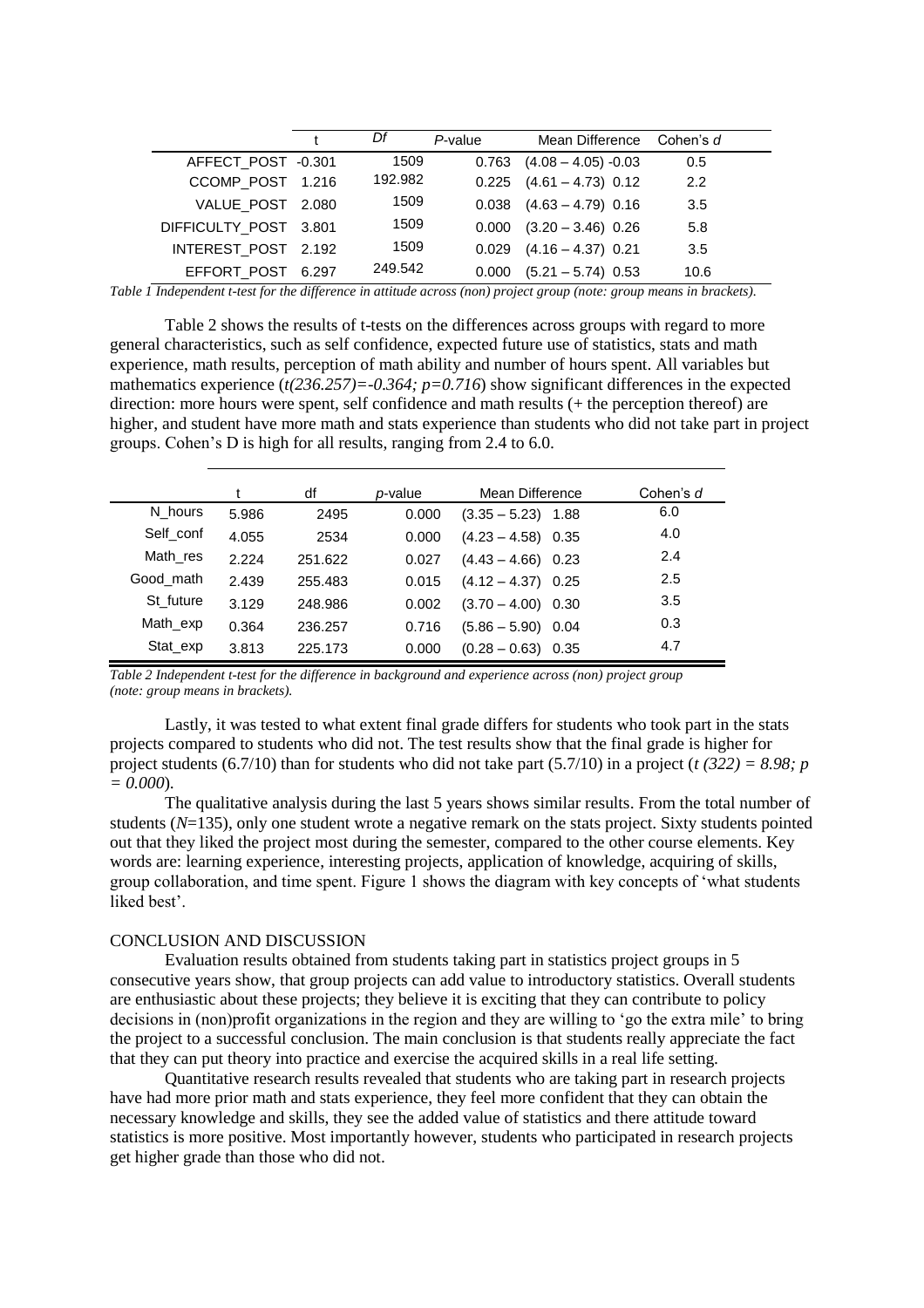|                       | Df      | P-value | Mean Difference               | Cohen's d |
|-----------------------|---------|---------|-------------------------------|-----------|
| AFFECT_POST -0.301    | 1509    |         | $0.763$ $(4.08 - 4.05) -0.03$ | 0.5       |
| CCOMP_POST 1.216      | 192.982 |         | $0.225$ $(4.61 - 4.73)$ 0.12  | 2.2       |
| VALUE_POST 2.080      | 1509    |         | $0.038$ $(4.63 - 4.79)$ 0.16  | 3.5       |
| DIFFICULTY_POST 3.801 | 1509    |         | $0.000$ $(3.20 - 3.46)$ 0.26  | 5.8       |
| INTEREST POST 2.192   | 1509    |         | $0.029$ $(4.16 - 4.37)$ 0.21  | 3.5       |
| EFFORT_POST 6.297     | 249.542 | 0.000   | $(5.21 - 5.74)$ 0.53          | 10.6      |

*Table 1 Independent t-test for the difference in attitude across (non) project group (note: group means in brackets).* 

Table 2 shows the results of t-tests on the differences across groups with regard to more general characteristics, such as self confidence, expected future use of statistics, stats and math experience, math results, perception of math ability and number of hours spent. All variables but mathematics experience (*t(236.257)=-0.364; p=0.716*) show significant differences in the expected direction: more hours were spent, self confidence and math results (+ the perception thereof) are higher, and student have more math and stats experience than students who did not take part in project groups. Cohen's D is high for all results, ranging from 2.4 to 6.0.

|           |       | df      | <i>p</i> -value | Mean Difference         | Cohen's d |
|-----------|-------|---------|-----------------|-------------------------|-----------|
| N hours   | 5.986 | 2495    | 0.000           | $(3.35 - 5.23)$ 1.88    | 6.0       |
| Self conf | 4.055 | 2534    | 0.000           | $(4.23 - 4.58)$ 0.35    | 4.0       |
| Math res  | 2.224 | 251.622 | 0.027           | $(4.43 - 4.66)$ 0.23    | 2.4       |
| Good math | 2.439 | 255.483 | 0.015           | $(4.12 - 4.37)$ 0.25    | 2.5       |
| St future | 3.129 | 248.986 | 0.002           | $(3.70 - 4.00)$ 0.30    | 3.5       |
| Math_exp  | 0.364 | 236.257 | 0.716           | $(5.86 - 5.90)$ 0.04    | 0.3       |
| Stat exp  | 3.813 | 225.173 | 0.000           | $(0.28 - 0.63)$<br>0.35 | 4.7       |

*Table 2 Independent t-test for the difference in background and experience across (non) project group (note: group means in brackets).* 

Lastly, it was tested to what extent final grade differs for students who took part in the stats projects compared to students who did not. The test results show that the final grade is higher for project students (6.7/10) than for students who did not take part (5.7/10) in a project (*t (322) = 8.98; p = 0.000*).

The qualitative analysis during the last 5 years shows similar results. From the total number of students (*N*=135), only one student wrote a negative remark on the stats project. Sixty students pointed out that they liked the project most during the semester, compared to the other course elements. Key words are: learning experience, interesting projects, application of knowledge, acquiring of skills, group collaboration, and time spent. Figure 1 shows the diagram with key concepts of 'what students liked best'.

#### CONCLUSION AND DISCUSSION

Evaluation results obtained from students taking part in statistics project groups in 5 consecutive years show, that group projects can add value to introductory statistics. Overall students are enthusiastic about these projects; they believe it is exciting that they can contribute to policy decisions in (non)profit organizations in the region and they are willing to 'go the extra mile' to bring the project to a successful conclusion. The main conclusion is that students really appreciate the fact that they can put theory into practice and exercise the acquired skills in a real life setting.

Quantitative research results revealed that students who are taking part in research projects have had more prior math and stats experience, they feel more confident that they can obtain the necessary knowledge and skills, they see the added value of statistics and there attitude toward statistics is more positive. Most importantly however, students who participated in research projects get higher grade than those who did not.